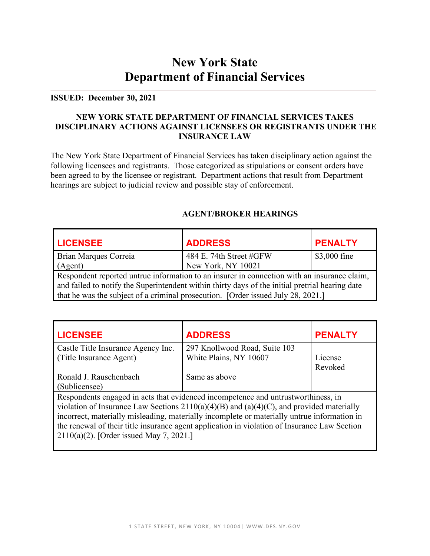# **New York State Department of Financial Services**

#### **ISSUED: December 30, 2021**

#### **NEW YORK STATE DEPARTMENT OF FINANCIAL SERVICES TAKES DISCIPLINARY ACTIONS AGAINST LICENSEES OR REGISTRANTS UNDER THE INSURANCE LAW**

The New York State Department of Financial Services has taken disciplinary action against the following licensees and registrants. Those categorized as stipulations or consent orders have been agreed to by the licensee or registrant. Department actions that result from Department hearings are subject to judicial review and possible stay of enforcement.

| <b>LICENSEE</b>                                                                                 | <b>ADDRESS</b>          | <b>PENALTY</b> |
|-------------------------------------------------------------------------------------------------|-------------------------|----------------|
| Brian Marques Correia                                                                           | 484 E. 74th Street #GFW | \$3,000 fine   |
| (Agent)                                                                                         | New York, NY 10021      |                |
| Respondent reported untrue information to an insurer in connection with an insurance claim,     |                         |                |
| and failed to notify the Superintendent within thirty days of the initial pretrial hearing date |                         |                |
| that he was the subject of a criminal prosecution. [Order issued July 28, 2021.]                |                         |                |

#### **AGENT/BROKER HEARINGS**

| <b>LICENSEE</b>                                                                               | <b>ADDRESS</b>                                                                    | <b>PENALTY</b> |
|-----------------------------------------------------------------------------------------------|-----------------------------------------------------------------------------------|----------------|
| Castle Title Insurance Agency Inc.                                                            | 297 Knollwood Road, Suite 103                                                     |                |
| (Title Insurance Agent)                                                                       | White Plains, NY 10607                                                            | License        |
|                                                                                               |                                                                                   | Revoked        |
| Ronald J. Rauschenbach                                                                        | Same as above                                                                     |                |
| (Sublicensee)                                                                                 |                                                                                   |                |
|                                                                                               | Respondents engaged in acts that evidenced incompetence and untrustworthiness, in |                |
| violation of Insurance Law Sections $2110(a)(4)(B)$ and $(a)(4)(C)$ , and provided materially |                                                                                   |                |
| incorrect, materially misleading, materially incomplete or materially untrue information in   |                                                                                   |                |
| the renewal of their title insurance agent application in violation of Insurance Law Section  |                                                                                   |                |
| $2110(a)(2)$ . [Order issued May 7, 2021.]                                                    |                                                                                   |                |
|                                                                                               |                                                                                   |                |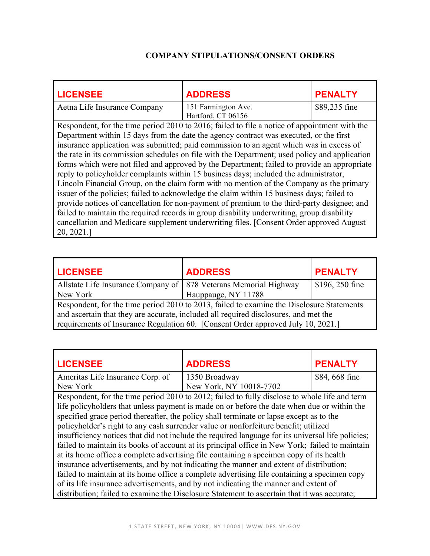## **COMPANY STIPULATIONS/CONSENT ORDERS**

| <b>LICENSEE</b>                                                                                                                                                                                                                                                                                                                                                                                                                                                                                                                                                                                                                                                                                                                                                                                                                                                                                                                                                                                                                                                                                  | <b>ADDRESS</b>      | <b>PENALTY</b> |
|--------------------------------------------------------------------------------------------------------------------------------------------------------------------------------------------------------------------------------------------------------------------------------------------------------------------------------------------------------------------------------------------------------------------------------------------------------------------------------------------------------------------------------------------------------------------------------------------------------------------------------------------------------------------------------------------------------------------------------------------------------------------------------------------------------------------------------------------------------------------------------------------------------------------------------------------------------------------------------------------------------------------------------------------------------------------------------------------------|---------------------|----------------|
| Aetna Life Insurance Company                                                                                                                                                                                                                                                                                                                                                                                                                                                                                                                                                                                                                                                                                                                                                                                                                                                                                                                                                                                                                                                                     | 151 Farmington Ave. | \$89,235 fine  |
| Hartford, CT 06156<br>Respondent, for the time period 2010 to 2016; failed to file a notice of appointment with the<br>Department within 15 days from the date the agency contract was executed, or the first<br>insurance application was submitted; paid commission to an agent which was in excess of<br>the rate in its commission schedules on file with the Department; used policy and application<br>forms which were not filed and approved by the Department; failed to provide an appropriate<br>reply to policyholder complaints within 15 business days; included the administrator,<br>Lincoln Financial Group, on the claim form with no mention of the Company as the primary<br>issuer of the policies; failed to acknowledge the claim within 15 business days; failed to<br>provide notices of cancellation for non-payment of premium to the third-party designee; and<br>failed to maintain the required records in group disability underwriting, group disability<br>cancellation and Medicare supplement underwriting files. [Consent Order approved August<br>20, 2021. |                     |                |

| <b>LICENSEE</b>                                                                           | <b>ADDRESS</b>      | <b>PENALTY</b>  |
|-------------------------------------------------------------------------------------------|---------------------|-----------------|
| Allstate Life Insurance Company of   878 Veterans Memorial Highway                        |                     | \$196, 250 fine |
| New York                                                                                  | Hauppauge, NY 11788 |                 |
| Respondent, for the time period 2010 to 2013, failed to examine the Disclosure Statements |                     |                 |
| and ascertain that they are accurate, included all required disclosures, and met the      |                     |                 |
| requirements of Insurance Regulation 60. [Consent Order approved July 10, 2021.]          |                     |                 |

| <b>LICENSEE</b>                                                                                   | <b>ADDRESS</b>                                                                                | <b>PENALTY</b> |
|---------------------------------------------------------------------------------------------------|-----------------------------------------------------------------------------------------------|----------------|
| Ameritas Life Insurance Corp. of                                                                  | 1350 Broadway                                                                                 | \$84,668 fine  |
| New York                                                                                          | New York, NY 10018-7702                                                                       |                |
|                                                                                                   | Respondent, for the time period 2010 to 2012; failed to fully disclose to whole life and term |                |
|                                                                                                   | life policyholders that unless payment is made on or before the date when due or within the   |                |
|                                                                                                   | specified grace period thereafter, the policy shall terminate or lapse except as to the       |                |
| policyholder's right to any cash surrender value or nonforfeiture benefit; utilized               |                                                                                               |                |
| insufficiency notices that did not include the required language for its universal life policies; |                                                                                               |                |
| failed to maintain its books of account at its principal office in New York; failed to maintain   |                                                                                               |                |
| at its home office a complete advertising file containing a specimen copy of its health           |                                                                                               |                |
| insurance advertisements, and by not indicating the manner and extent of distribution;            |                                                                                               |                |
| failed to maintain at its home office a complete advertising file containing a specimen copy      |                                                                                               |                |
| of its life insurance advertisements, and by not indicating the manner and extent of              |                                                                                               |                |
|                                                                                                   | distribution; failed to examine the Disclosure Statement to ascertain that it was accurate;   |                |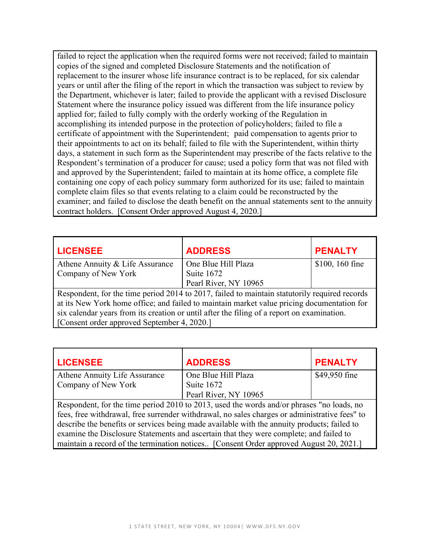failed to reject the application when the required forms were not received; failed to maintain copies of the signed and completed Disclosure Statements and the notification of replacement to the insurer whose life insurance contract is to be replaced, for six calendar years or until after the filing of the report in which the transaction was subject to review by the Department, whichever is later; failed to provide the applicant with a revised Disclosure Statement where the insurance policy issued was different from the life insurance policy applied for; failed to fully comply with the orderly working of the Regulation in accomplishing its intended purpose in the protection of policyholders; failed to file a certificate of appointment with the Superintendent; paid compensation to agents prior to their appointments to act on its behalf; failed to file with the Superintendent, within thirty days, a statement in such form as the Superintendent may prescribe of the facts relative to the Respondent's termination of a producer for cause; used a policy form that was not filed with and approved by the Superintendent; failed to maintain at its home office, a complete file containing one copy of each policy summary form authorized for its use; failed to maintain complete claim files so that events relating to a claim could be reconstructed by the examiner; and failed to disclose the death benefit on the annual statements sent to the annuity contract holders. [Consent Order approved August 4, 2020.]

| <b>LICENSEE</b>                                                                               | <b>ADDRESS</b>        | <b>PENALTY</b>  |
|-----------------------------------------------------------------------------------------------|-----------------------|-----------------|
| Athene Annuity & Life Assurance                                                               | One Blue Hill Plaza   | \$100, 160 fine |
| Company of New York                                                                           | Suite 1672            |                 |
|                                                                                               | Pearl River, NY 10965 |                 |
| Respondent, for the time period 2014 to 2017, failed to maintain statutorily required records |                       |                 |
| at its New York home office; and failed to maintain market value pricing documentation for    |                       |                 |
| six calendar years from its creation or until after the filing of a report on examination.    |                       |                 |
| [Consent order approved September 4, 2020.]                                                   |                       |                 |

| <b>LICENSEE</b>                                                                             | <b>ADDRESS</b>                                                                                | <b>PENALTY</b> |
|---------------------------------------------------------------------------------------------|-----------------------------------------------------------------------------------------------|----------------|
| Athene Annuity Life Assurance                                                               | One Blue Hill Plaza                                                                           | \$49,950 fine  |
| Company of New York                                                                         | Suite 1672                                                                                    |                |
|                                                                                             | Pearl River, NY 10965                                                                         |                |
| Respondent, for the time period 2010 to 2013, used the words and/or phrases "no loads, no   |                                                                                               |                |
|                                                                                             | fees, free withdrawal, free surrender withdrawal, no sales charges or administrative fees" to |                |
| describe the benefits or services being made available with the annuity products; failed to |                                                                                               |                |
| examine the Disclosure Statements and ascertain that they were complete; and failed to      |                                                                                               |                |
| maintain a record of the termination notices [Consent Order approved August 20, 2021.]      |                                                                                               |                |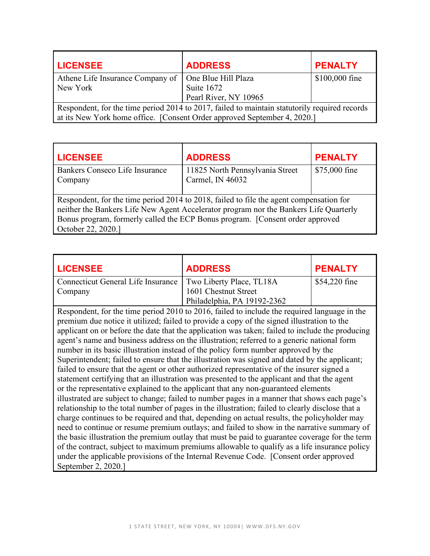| <b>LICENSEE</b>                                                                               | <b>ADDRESS</b>        | <b>PENALTY</b> |
|-----------------------------------------------------------------------------------------------|-----------------------|----------------|
| Athene Life Insurance Company of                                                              | One Blue Hill Plaza   | \$100,000 fine |
| New York                                                                                      | Suite 1672            |                |
|                                                                                               | Pearl River, NY 10965 |                |
| Respondent, for the time period 2014 to 2017, failed to maintain statutorily required records |                       |                |
| at its New York home office. [Consent Order approved September 4, 2020.]                      |                       |                |

| <b>LICENSEE</b>                                                                                                                                                                                                                                                                          | <b>ADDRESS</b>                                      | <b>PENALTY</b> |
|------------------------------------------------------------------------------------------------------------------------------------------------------------------------------------------------------------------------------------------------------------------------------------------|-----------------------------------------------------|----------------|
| Bankers Conseco Life Insurance<br>Company                                                                                                                                                                                                                                                | 11825 North Pennsylvania Street<br>Carmel, IN 46032 | \$75,000 fine  |
| Respondent, for the time period 2014 to 2018, failed to file the agent compensation for<br>neither the Bankers Life New Agent Accelerator program nor the Bankers Life Quarterly<br>Bonus program, formerly called the ECP Bonus program. [Consent order approved]<br>October 22, 2020.] |                                                     |                |

| <b>LICENSEE</b>                                                                                  | <b>ADDRESS</b>                                                                                  | <b>PENALTY</b> |
|--------------------------------------------------------------------------------------------------|-------------------------------------------------------------------------------------------------|----------------|
| <b>Connecticut General Life Insurance</b>                                                        | Two Liberty Place, TL18A                                                                        | \$54,220 fine  |
| Company                                                                                          | 1601 Chestnut Street                                                                            |                |
|                                                                                                  | Philadelphia, PA 19192-2362                                                                     |                |
|                                                                                                  | Respondent, for the time period 2010 to 2016, failed to include the required language in the    |                |
|                                                                                                  | premium due notice it utilized; failed to provide a copy of the signed illustration to the      |                |
|                                                                                                  | applicant on or before the date that the application was taken; failed to include the producing |                |
|                                                                                                  | agent's name and business address on the illustration; referred to a generic national form      |                |
|                                                                                                  | number in its basic illustration instead of the policy form number approved by the              |                |
|                                                                                                  | Superintendent; failed to ensure that the illustration was signed and dated by the applicant;   |                |
| failed to ensure that the agent or other authorized representative of the insurer signed a       |                                                                                                 |                |
| statement certifying that an illustration was presented to the applicant and that the agent      |                                                                                                 |                |
| or the representative explained to the applicant that any non-guaranteed elements                |                                                                                                 |                |
| illustrated are subject to change; failed to number pages in a manner that shows each page's     |                                                                                                 |                |
| relationship to the total number of pages in the illustration; failed to clearly disclose that a |                                                                                                 |                |
| charge continues to be required and that, depending on actual results, the policyholder may      |                                                                                                 |                |
| need to continue or resume premium outlays; and failed to show in the narrative summary of       |                                                                                                 |                |
| the basic illustration the premium outlay that must be paid to guarantee coverage for the term   |                                                                                                 |                |
| of the contract, subject to maximum premiums allowable to qualify as a life insurance policy     |                                                                                                 |                |
|                                                                                                  | under the applicable provisions of the Internal Revenue Code. [Consent order approved           |                |
| September 2, 2020.                                                                               |                                                                                                 |                |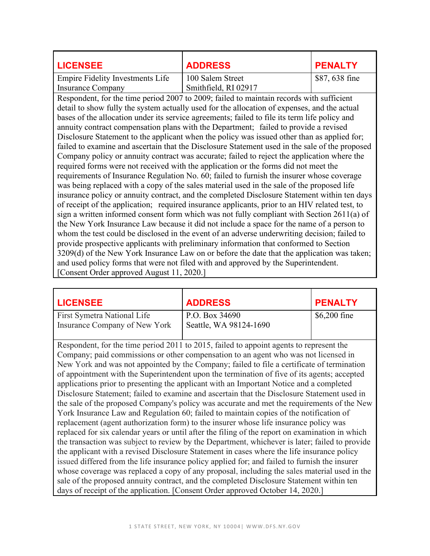| <b>LICENSEE</b>                                                                              | <b>ADDRESS</b>                                                                                 | <b>PENALTY</b> |  |
|----------------------------------------------------------------------------------------------|------------------------------------------------------------------------------------------------|----------------|--|
| <b>Empire Fidelity Investments Life</b>                                                      | 100 Salem Street                                                                               | \$87, 638 fine |  |
| <b>Insurance Company</b>                                                                     | Smithfield, RI 02917                                                                           |                |  |
|                                                                                              | Respondent, for the time period 2007 to 2009; failed to maintain records with sufficient       |                |  |
|                                                                                              | detail to show fully the system actually used for the allocation of expenses, and the actual   |                |  |
|                                                                                              | bases of the allocation under its service agreements; failed to file its term life policy and  |                |  |
|                                                                                              | annuity contract compensation plans with the Department; failed to provide a revised           |                |  |
|                                                                                              | Disclosure Statement to the applicant when the policy was issued other than as applied for;    |                |  |
|                                                                                              | failed to examine and ascertain that the Disclosure Statement used in the sale of the proposed |                |  |
|                                                                                              | Company policy or annuity contract was accurate; failed to reject the application where the    |                |  |
|                                                                                              | required forms were not received with the application or the forms did not meet the            |                |  |
|                                                                                              | requirements of Insurance Regulation No. 60; failed to furnish the insurer whose coverage      |                |  |
|                                                                                              | was being replaced with a copy of the sales material used in the sale of the proposed life     |                |  |
|                                                                                              | insurance policy or annuity contract, and the completed Disclosure Statement within ten days   |                |  |
|                                                                                              | of receipt of the application; required insurance applicants, prior to an HIV related test, to |                |  |
|                                                                                              | sign a written informed consent form which was not fully compliant with Section 2611(a) of     |                |  |
| the New York Insurance Law because it did not include a space for the name of a person to    |                                                                                                |                |  |
| whom the test could be disclosed in the event of an adverse underwriting decision; failed to |                                                                                                |                |  |
| provide prospective applicants with preliminary information that conformed to Section        |                                                                                                |                |  |
|                                                                                              | 3209(d) of the New York Insurance Law on or before the date that the application was taken;    |                |  |
|                                                                                              | and used policy forms that were not filed with and approved by the Superintendent.             |                |  |
| [Consent Order approved August 11, 2020.]                                                    |                                                                                                |                |  |

| <b>LICENSEE</b>                                                                         | <b>ADDRESS</b>                           | <b>PENALTY</b> |
|-----------------------------------------------------------------------------------------|------------------------------------------|----------------|
| <b>First Symetra National Life</b><br>Insurance Company of New York                     | P.O. Box 34690<br>Seattle, WA 98124-1690 | $$6,200$ fine  |
| Respondent, for the time period 2011 to 2015, failed to appoint agents to represent the |                                          |                |

Company; paid commissions or other compensation to an agent who was not licensed in New York and was not appointed by the Company; failed to file a certificate of termination of appointment with the Superintendent upon the termination of five of its agents; accepted applications prior to presenting the applicant with an Important Notice and a completed Disclosure Statement; failed to examine and ascertain that the Disclosure Statement used in the sale of the proposed Company's policy was accurate and met the requirements of the New York Insurance Law and Regulation 60; failed to maintain copies of the notification of replacement (agent authorization form) to the insurer whose life insurance policy was replaced for six calendar years or until after the filing of the report on examination in which the transaction was subject to review by the Department, whichever is later; failed to provide the applicant with a revised Disclosure Statement in cases where the life insurance policy issued differed from the life insurance policy applied for; and failed to furnish the insurer whose coverage was replaced a copy of any proposal, including the sales material used in the sale of the proposed annuity contract, and the completed Disclosure Statement within ten days of receipt of the application. [Consent Order approved October 14, 2020.]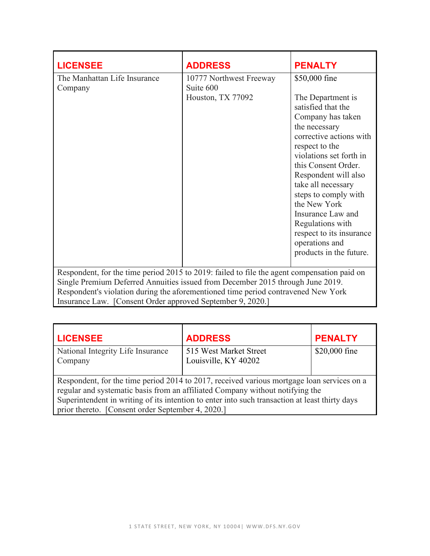| <b>LICENSEE</b>                                                                             | <b>ADDRESS</b>                       | <b>PENALTY</b>                                                 |
|---------------------------------------------------------------------------------------------|--------------------------------------|----------------------------------------------------------------|
| The Manhattan Life Insurance<br>Company                                                     | 10777 Northwest Freeway<br>Suite 600 | \$50,000 fine                                                  |
|                                                                                             | Houston, TX 77092                    | The Department is<br>satisfied that the                        |
|                                                                                             |                                      | Company has taken<br>the necessary                             |
|                                                                                             |                                      | corrective actions with<br>respect to the                      |
|                                                                                             |                                      | violations set forth in                                        |
|                                                                                             |                                      | this Consent Order.                                            |
|                                                                                             |                                      | Respondent will also<br>take all necessary                     |
|                                                                                             |                                      | steps to comply with                                           |
|                                                                                             |                                      | the New York                                                   |
|                                                                                             |                                      | Insurance Law and                                              |
|                                                                                             |                                      | Regulations with<br>respect to its insurance<br>operations and |
|                                                                                             |                                      | products in the future.                                        |
| Respondent, for the time period 2015 to 2019: failed to file the agent compensation paid on |                                      |                                                                |
| Single Premium Deferred Annuities issued from December 2015 through June 2019.              |                                      |                                                                |
| Respondent's violation during the aforementioned time period contravened New York           |                                      |                                                                |
| Insurance Law. [Consent Order approved September 9, 2020.]                                  |                                      |                                                                |

| <b>LICENSEE</b>                                                                                | <b>ADDRESS</b>                                                                             | <b>PENALTY</b> |
|------------------------------------------------------------------------------------------------|--------------------------------------------------------------------------------------------|----------------|
| National Integrity Life Insurance                                                              | 515 West Market Street                                                                     | \$20,000 fine  |
| Company                                                                                        | Louisville, KY 40202                                                                       |                |
|                                                                                                |                                                                                            |                |
|                                                                                                | Respondent, for the time period 2014 to 2017, received various mortgage loan services on a |                |
| regular and systematic basis from an affiliated Company without notifying the                  |                                                                                            |                |
| Superintendent in writing of its intention to enter into such transaction at least thirty days |                                                                                            |                |
| prior thereto. [Consent order September 4, 2020.]                                              |                                                                                            |                |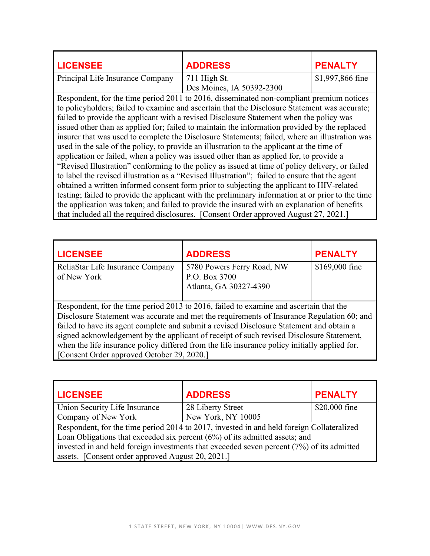| <b>LICENSEE</b>                  | <b>ADDRESS</b>                              | <b>PENALTY</b>   |
|----------------------------------|---------------------------------------------|------------------|
| Principal Life Insurance Company | $711$ High St.<br>Des Moines, IA 50392-2300 | \$1,997,866 fine |

Respondent, for the time period 2011 to 2016, disseminated non-compliant premium notices to policyholders; failed to examine and ascertain that the Disclosure Statement was accurate; failed to provide the applicant with a revised Disclosure Statement when the policy was issued other than as applied for; failed to maintain the information provided by the replaced insurer that was used to complete the Disclosure Statements; failed, where an illustration was used in the sale of the policy, to provide an illustration to the applicant at the time of application or failed, when a policy was issued other than as applied for, to provide a "Revised Illustration" conforming to the policy as issued at time of policy delivery, or failed to label the revised illustration as a "Revised Illustration"; failed to ensure that the agent obtained a written informed consent form prior to subjecting the applicant to HIV-related testing; failed to provide the applicant with the preliminary information at or prior to the time the application was taken; and failed to provide the insured with an explanation of benefits that included all the required disclosures. [Consent Order approved August 27, 2021.]

| <b>LICENSEE</b>                                                                               | <b>ADDRESS</b>                                                                         | <b>PENALTY</b> |
|-----------------------------------------------------------------------------------------------|----------------------------------------------------------------------------------------|----------------|
| ReliaStar Life Insurance Company                                                              | 5780 Powers Ferry Road, NW                                                             | \$169,000 fine |
| of New York                                                                                   | P.O. Box 3700                                                                          |                |
|                                                                                               | Atlanta, GA 30327-4390                                                                 |                |
|                                                                                               |                                                                                        |                |
|                                                                                               | Respondent, for the time period 2013 to 2016, failed to examine and ascertain that the |                |
| Disclosure Statement was accurate and met the requirements of Insurance Regulation 60; and    |                                                                                        |                |
| failed to have its agent complete and submit a revised Disclosure Statement and obtain a      |                                                                                        |                |
| signed acknowledgement by the applicant of receipt of such revised Disclosure Statement,      |                                                                                        |                |
| when the life insurance policy differed from the life insurance policy initially applied for. |                                                                                        |                |

[Consent Order approved October 29, 2020.]

| <b>LICENSEE</b>                                                                           | <b>ADDRESS</b>     | <b>PENALTY</b> |
|-------------------------------------------------------------------------------------------|--------------------|----------------|
| Union Security Life Insurance                                                             | 28 Liberty Street  | \$20,000 fine  |
| Company of New York                                                                       | New York, NY 10005 |                |
| Respondent, for the time period 2014 to 2017, invested in and held foreign Collateralized |                    |                |
| Loan Obligations that exceeded six percent $(6%)$ of its admitted assets; and             |                    |                |
| invested in and held foreign investments that exceeded seven percent (7%) of its admitted |                    |                |
| assets. [Consent order approved August 20, 2021.]                                         |                    |                |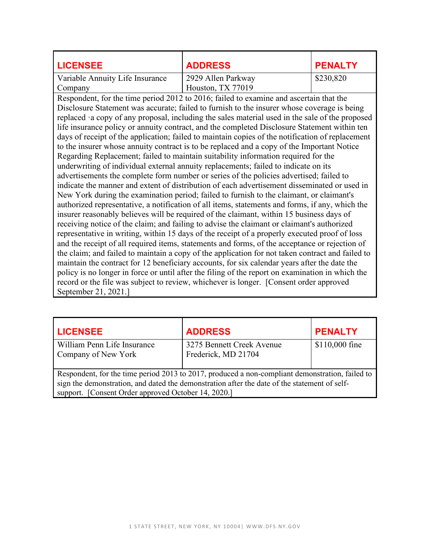| <b>LICENSEE</b>                                                                                  | <b>ADDRESS</b>                                                                                   | <b>PENALTY</b> |  |
|--------------------------------------------------------------------------------------------------|--------------------------------------------------------------------------------------------------|----------------|--|
| Variable Annuity Life Insurance                                                                  | 2929 Allen Parkway                                                                               | \$230,820      |  |
| Company                                                                                          | Houston, TX 77019                                                                                |                |  |
|                                                                                                  | Respondent, for the time period 2012 to 2016; failed to examine and ascertain that the           |                |  |
|                                                                                                  | Disclosure Statement was accurate; failed to furnish to the insurer whose coverage is being      |                |  |
|                                                                                                  | replaced a copy of any proposal, including the sales material used in the sale of the proposed   |                |  |
|                                                                                                  | life insurance policy or annuity contract, and the completed Disclosure Statement within ten     |                |  |
|                                                                                                  | days of receipt of the application; failed to maintain copies of the notification of replacement |                |  |
|                                                                                                  | to the insurer whose annuity contract is to be replaced and a copy of the Important Notice       |                |  |
|                                                                                                  | Regarding Replacement; failed to maintain suitability information required for the               |                |  |
|                                                                                                  | underwriting of individual external annuity replacements; failed to indicate on its              |                |  |
| advertisements the complete form number or series of the policies advertised; failed to          |                                                                                                  |                |  |
| indicate the manner and extent of distribution of each advertisement disseminated or used in     |                                                                                                  |                |  |
| New York during the examination period; failed to furnish to the claimant, or claimant's         |                                                                                                  |                |  |
|                                                                                                  | authorized representative, a notification of all items, statements and forms, if any, which the  |                |  |
| insurer reasonably believes will be required of the claimant, within 15 business days of         |                                                                                                  |                |  |
| receiving notice of the claim; and failing to advise the claimant or claimant's authorized       |                                                                                                  |                |  |
| representative in writing, within 15 days of the receipt of a properly executed proof of loss    |                                                                                                  |                |  |
| and the receipt of all required items, statements and forms, of the acceptance or rejection of   |                                                                                                  |                |  |
| the claim; and failed to maintain a copy of the application for not taken contract and failed to |                                                                                                  |                |  |
| maintain the contract for 12 beneficiary accounts, for six calendar years after the date the     |                                                                                                  |                |  |
|                                                                                                  | policy is no longer in force or until after the filing of the report on examination in which the |                |  |
|                                                                                                  | record or the file was subject to review, whichever is longer. [Consent order approved           |                |  |
| September 21, 2021.]                                                                             |                                                                                                  |                |  |

| <b>LICENSEE</b>                                                                                                                                                                                                                                        | <b>ADDRESS</b>                                   | <b>PENALTY</b> |
|--------------------------------------------------------------------------------------------------------------------------------------------------------------------------------------------------------------------------------------------------------|--------------------------------------------------|----------------|
| William Penn Life Insurance<br>Company of New York                                                                                                                                                                                                     | 3275 Bennett Creek Avenue<br>Frederick, MD 21704 | \$110,000 fine |
| Respondent, for the time period 2013 to 2017, produced a non-compliant demonstration, failed to<br>sign the demonstration, and dated the demonstration after the date of the statement of self-<br>support. [Consent Order approved October 14, 2020.] |                                                  |                |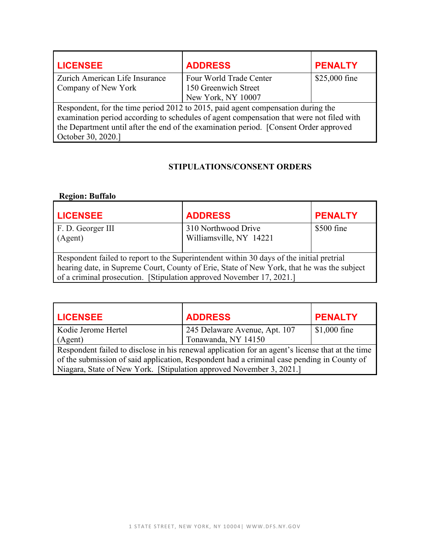| <b>LICENSEE</b>                                                                          | <b>ADDRESS</b>                                                                   | <b>PENALTY</b> |
|------------------------------------------------------------------------------------------|----------------------------------------------------------------------------------|----------------|
| Zurich American Life Insurance                                                           | Four World Trade Center                                                          | \$25,000 fine  |
| Company of New York                                                                      | 150 Greenwich Street                                                             |                |
|                                                                                          | New York, NY 10007                                                               |                |
|                                                                                          | Respondent, for the time period 2012 to 2015, paid agent compensation during the |                |
| examination period according to schedules of agent compensation that were not filed with |                                                                                  |                |
| the Department until after the end of the examination period. [Consent Order approved    |                                                                                  |                |
| October 30, 2020.]                                                                       |                                                                                  |                |

## **STIPULATIONS/CONSENT ORDERS**

| <b>Region: Buffalo</b>                                                                     |                         |                |
|--------------------------------------------------------------------------------------------|-------------------------|----------------|
| <b>LICENSEE</b>                                                                            | <b>ADDRESS</b>          | <b>PENALTY</b> |
| F. D. Georger III                                                                          | 310 Northwood Drive     | \$500 fine     |
| (Agent)                                                                                    | Williamsville, NY 14221 |                |
| Respondent failed to report to the Superintendent within 30 days of the initial pretrial   |                         |                |
| hearing date, in Supreme Court, County of Erie, State of New York, that he was the subject |                         |                |
| of a criminal prosecution. [Stipulation approved November 17, 2021.]                       |                         |                |

| <b>LICENSEE</b>                                                                                  | <b>ADDRESS</b>                | <b>PENALTY</b> |
|--------------------------------------------------------------------------------------------------|-------------------------------|----------------|
| Kodie Jerome Hertel                                                                              | 245 Delaware Avenue, Apt. 107 | $$1,000$ fine  |
| (Agent)                                                                                          | Tonawanda, NY 14150           |                |
| Respondent failed to disclose in his renewal application for an agent's license that at the time |                               |                |
| of the submission of said application, Respondent had a criminal case pending in County of       |                               |                |
| Niagara, State of New York. [Stipulation approved November 3, 2021.]                             |                               |                |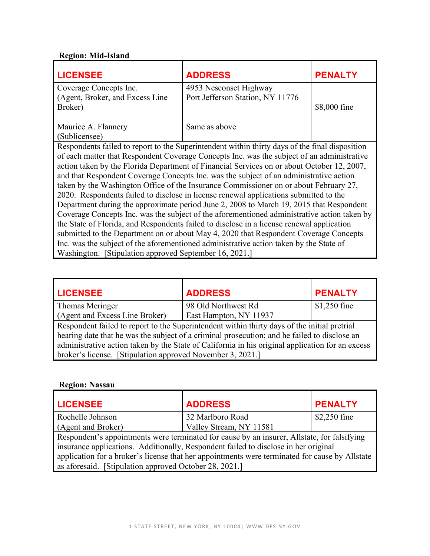# **Region: Mid-Island**

| <b>LICENSEE</b>                                                                             | <b>ADDRESS</b>                                                                                 | <b>PENALTY</b> |
|---------------------------------------------------------------------------------------------|------------------------------------------------------------------------------------------------|----------------|
| Coverage Concepts Inc.                                                                      | 4953 Nesconset Highway                                                                         |                |
| (Agent, Broker, and Excess Line)                                                            | Port Jefferson Station, NY 11776                                                               |                |
| Broker)                                                                                     |                                                                                                | \$8,000 fine   |
|                                                                                             |                                                                                                |                |
| Maurice A. Flannery                                                                         | Same as above                                                                                  |                |
| (Sublicensee)                                                                               |                                                                                                |                |
|                                                                                             | Respondents failed to report to the Superintendent within thirty days of the final disposition |                |
|                                                                                             | of each matter that Respondent Coverage Concepts Inc. was the subject of an administrative     |                |
| action taken by the Florida Department of Financial Services on or about October 12, 2007,  |                                                                                                |                |
|                                                                                             | and that Respondent Coverage Concepts Inc. was the subject of an administrative action         |                |
|                                                                                             | taken by the Washington Office of the Insurance Commissioner on or about February 27,          |                |
|                                                                                             | 2020. Respondents failed to disclose in license renewal applications submitted to the          |                |
| Department during the approximate period June 2, 2008 to March 19, 2015 that Respondent     |                                                                                                |                |
| Coverage Concepts Inc. was the subject of the aforementioned administrative action taken by |                                                                                                |                |
| the State of Florida, and Respondents failed to disclose in a license renewal application   |                                                                                                |                |
| submitted to the Department on or about May 4, 2020 that Respondent Coverage Concepts       |                                                                                                |                |
| Inc. was the subject of the aforementioned administrative action taken by the State of      |                                                                                                |                |
| Washington. [Stipulation approved September 16, 2021.]                                      |                                                                                                |                |

| <b>LICENSEE</b>                                                                                  | <b>ADDRESS</b>         | <b>PENALTY</b> |
|--------------------------------------------------------------------------------------------------|------------------------|----------------|
| Thomas Meringer                                                                                  | 98 Old Northwest Rd    | $$1,250$ fine  |
| (Agent and Excess Line Broker)                                                                   | East Hampton, NY 11937 |                |
| Respondent failed to report to the Superintendent within thirty days of the initial pretrial     |                        |                |
| hearing date that he was the subject of a criminal prosecution; and he failed to disclose an     |                        |                |
| administrative action taken by the State of California in his original application for an excess |                        |                |
| broker's license. [Stipulation approved November 3, 2021.]                                       |                        |                |

## **Region: Nassau**

| <b>LICENSEE</b>                                        | <b>ADDRESS</b>                                                                                 | <b>PENALTY</b> |
|--------------------------------------------------------|------------------------------------------------------------------------------------------------|----------------|
| Rochelle Johnson                                       | 32 Marlboro Road                                                                               | $$2,250$ fine  |
| (Agent and Broker)                                     | Valley Stream, NY 11581                                                                        |                |
|                                                        | Respondent's appointments were terminated for cause by an insurer, Allstate, for falsifying    |                |
|                                                        | insurance applications. Additionally, Respondent failed to disclose in her original            |                |
|                                                        | application for a broker's license that her appointments were terminated for cause by Allstate |                |
| as aforesaid. [Stipulation approved October 28, 2021.] |                                                                                                |                |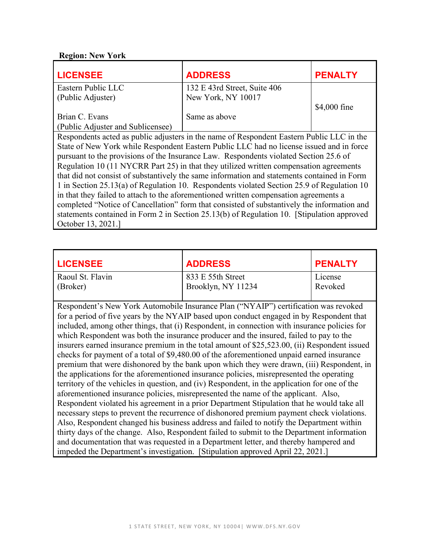#### **Region: New York**

| <b>LICENSEE</b>                                                                             | <b>ADDRESS</b>                                                                            | <b>PENALTY</b> |
|---------------------------------------------------------------------------------------------|-------------------------------------------------------------------------------------------|----------------|
| Eastern Public LLC                                                                          | 132 E 43rd Street, Suite 406                                                              |                |
| (Public Adjuster)                                                                           | New York, NY 10017                                                                        |                |
|                                                                                             |                                                                                           | \$4,000 fine   |
| Brian C. Evans                                                                              | Same as above                                                                             |                |
| (Public Adjuster and Sublicensee)                                                           |                                                                                           |                |
|                                                                                             | Respondents acted as public adjusters in the name of Respondent Eastern Public LLC in the |                |
|                                                                                             | State of New York while Respondent Eastern Public LLC had no license issued and in force  |                |
| pursuant to the provisions of the Insurance Law. Respondents violated Section 25.6 of       |                                                                                           |                |
| Regulation 10 (11 NYCRR Part 25) in that they utilized written compensation agreements      |                                                                                           |                |
| that did not consist of substantively the same information and statements contained in Form |                                                                                           |                |
| 1 in Section 25.13(a) of Regulation 10. Respondents violated Section 25.9 of Regulation 10  |                                                                                           |                |
| in that they failed to attach to the aforementioned written compensation agreements a       |                                                                                           |                |
| completed "Notice of Cancellation" form that consisted of substantively the information and |                                                                                           |                |
| statements contained in Form 2 in Section 25.13(b) of Regulation 10. [Stipulation approved  |                                                                                           |                |
| October 13, 2021.]                                                                          |                                                                                           |                |

| <b>LICENSEE</b>                                                                     | <b>ADDRESS</b>                          | <b>PENALTY</b>     |
|-------------------------------------------------------------------------------------|-----------------------------------------|--------------------|
| Raoul St. Flavin<br>(Broker)                                                        | 833 E 55th Street<br>Brooklyn, NY 11234 | License<br>Revoked |
| Respondent's New York Automobile Insurance Plan ("NYAIP") certification was revoked |                                         |                    |

for a period of five years by the NYAIP based upon conduct engaged in by Respondent that included, among other things, that (i) Respondent, in connection with insurance policies for which Respondent was both the insurance producer and the insured, failed to pay to the insurers earned insurance premium in the total amount of \$25,523.00, (ii) Respondent issued checks for payment of a total of \$9,480.00 of the aforementioned unpaid earned insurance premium that were dishonored by the bank upon which they were drawn, (iii) Respondent, in the applications for the aforementioned insurance policies, misrepresented the operating territory of the vehicles in question, and (iv) Respondent, in the application for one of the aforementioned insurance policies, misrepresented the name of the applicant. Also, Respondent violated his agreement in a prior Department Stipulation that he would take all necessary steps to prevent the recurrence of dishonored premium payment check violations. Also, Respondent changed his business address and failed to notify the Department within thirty days of the change. Also, Respondent failed to submit to the Department information and documentation that was requested in a Department letter, and thereby hampered and impeded the Department's investigation. [Stipulation approved April 22, 2021.]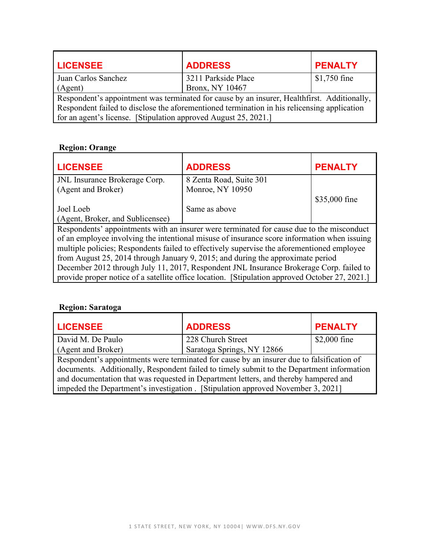| <b>LICENSEE</b>                                                 | <b>ADDRESS</b>                                                                              | <b>PENALTY</b> |
|-----------------------------------------------------------------|---------------------------------------------------------------------------------------------|----------------|
| Juan Carlos Sanchez                                             | 3211 Parkside Place                                                                         | $$1,750$ fine  |
| (Agent)                                                         | Bronx, NY 10467                                                                             |                |
|                                                                 | Respondent's appointment was terminated for cause by an insurer, Healthfirst. Additionally, |                |
|                                                                 | Respondent failed to disclose the aforementioned termination in his relicensing application |                |
| for an agent's license. [Stipulation approved August 25, 2021.] |                                                                                             |                |

## **Region: Orange**

| <b>LICENSEE</b>                                                                         | <b>ADDRESS</b>                                                                                 | <b>PENALTY</b> |
|-----------------------------------------------------------------------------------------|------------------------------------------------------------------------------------------------|----------------|
| JNL Insurance Brokerage Corp.                                                           | 8 Zenta Road, Suite 301                                                                        |                |
| (Agent and Broker)                                                                      | Monroe, NY 10950                                                                               |                |
|                                                                                         |                                                                                                | \$35,000 fine  |
| Joel Loeb                                                                               | Same as above                                                                                  |                |
| (Agent, Broker, and Sublicensee)                                                        |                                                                                                |                |
|                                                                                         | Respondents' appointments with an insurer were terminated for cause due to the misconduct      |                |
|                                                                                         | of an employee involving the intentional misuse of insurance score information when issuing    |                |
|                                                                                         | multiple policies; Respondents failed to effectively supervise the aforementioned employee     |                |
|                                                                                         | from August 25, 2014 through January 9, 2015; and during the approximate period                |                |
| December 2012 through July 11, 2017, Respondent JNL Insurance Brokerage Corp. failed to |                                                                                                |                |
|                                                                                         | provide proper notice of a satellite office location. [Stipulation approved October 27, 2021.] |                |

## **Region: Saratoga**

| <b>LICENSEE</b>                                                                      | <b>ADDRESS</b>                                                                            | <b>PENALTY</b> |
|--------------------------------------------------------------------------------------|-------------------------------------------------------------------------------------------|----------------|
| David M. De Paulo                                                                    | 228 Church Street                                                                         | $$2,000$ fine  |
| (Agent and Broker)                                                                   | Saratoga Springs, NY 12866                                                                |                |
|                                                                                      | Respondent's appointments were terminated for cause by an insurer due to falsification of |                |
|                                                                                      | documents. Additionally, Respondent failed to timely submit to the Department information |                |
| and documentation that was requested in Department letters, and thereby hampered and |                                                                                           |                |
|                                                                                      | impeded the Department's investigation. [Stipulation approved November 3, 2021]           |                |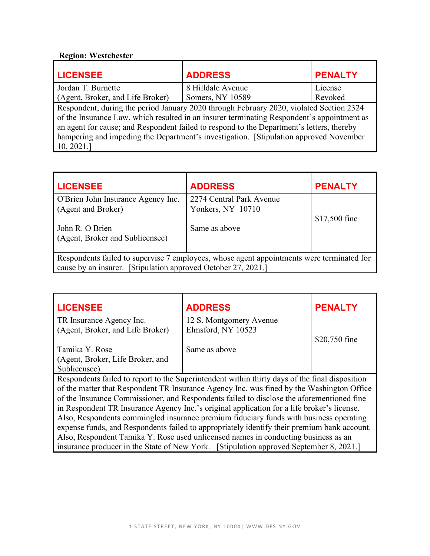# **Region: Westchester**

| <b>LICENSEE</b>                                                                            | <b>ADDRESS</b>                                                                          | <b>PENALTY</b> |
|--------------------------------------------------------------------------------------------|-----------------------------------------------------------------------------------------|----------------|
| Jordan T. Burnette                                                                         | 8 Hilldale Avenue                                                                       | License        |
| (Agent, Broker, and Life Broker)                                                           | Somers, NY 10589                                                                        | Revoked        |
|                                                                                            | Respondent, during the period January 2020 through February 2020, violated Section 2324 |                |
| of the Insurance Law, which resulted in an insurer terminating Respondent's appointment as |                                                                                         |                |
| an agent for cause; and Respondent failed to respond to the Department's letters, thereby  |                                                                                         |                |
| hampering and impeding the Department's investigation. [Stipulation approved November      |                                                                                         |                |
| 10, 2021.                                                                                  |                                                                                         |                |

| <b>LICENSEE</b>                                                                           | <b>ADDRESS</b>           | <b>PENALTY</b> |
|-------------------------------------------------------------------------------------------|--------------------------|----------------|
| O'Brien John Insurance Agency Inc.                                                        | 2274 Central Park Avenue |                |
| (Agent and Broker)                                                                        | Yonkers, NY 10710        |                |
|                                                                                           |                          | \$17,500 fine  |
| John R. O Brien                                                                           | Same as above            |                |
| (Agent, Broker and Sublicensee)                                                           |                          |                |
|                                                                                           |                          |                |
| Respondents failed to supervise 7 employees, whose agent appointments were terminated for |                          |                |
| cause by an insurer. [Stipulation approved October 27, 2021.]                             |                          |                |

| <b>LICENSEE</b>                                                                             | <b>ADDRESS</b>                                                                                 | <b>PENALTY</b> |
|---------------------------------------------------------------------------------------------|------------------------------------------------------------------------------------------------|----------------|
| TR Insurance Agency Inc.                                                                    | 12 S. Montgomery Avenue                                                                        |                |
| (Agent, Broker, and Life Broker)                                                            | Elmsford, NY 10523                                                                             |                |
|                                                                                             |                                                                                                | \$20,750 fine  |
| Tamika Y. Rose                                                                              | Same as above                                                                                  |                |
| (Agent, Broker, Life Broker, and                                                            |                                                                                                |                |
| Sublicensee)                                                                                |                                                                                                |                |
|                                                                                             | Respondents failed to report to the Superintendent within thirty days of the final disposition |                |
|                                                                                             | of the matter that Respondent TR Insurance Agency Inc. was fined by the Washington Office      |                |
|                                                                                             | of the Insurance Commissioner, and Respondents failed to disclose the aforementioned fine      |                |
|                                                                                             | in Respondent TR Insurance Agency Inc.'s original application for a life broker's license.     |                |
|                                                                                             | Also, Respondents commingled insurance premium fiduciary funds with business operating         |                |
| expense funds, and Respondents failed to appropriately identify their premium bank account. |                                                                                                |                |
| Also, Respondent Tamika Y. Rose used unlicensed names in conducting business as an          |                                                                                                |                |
|                                                                                             | insurance producer in the State of New York. [Stipulation approved September 8, 2021.]         |                |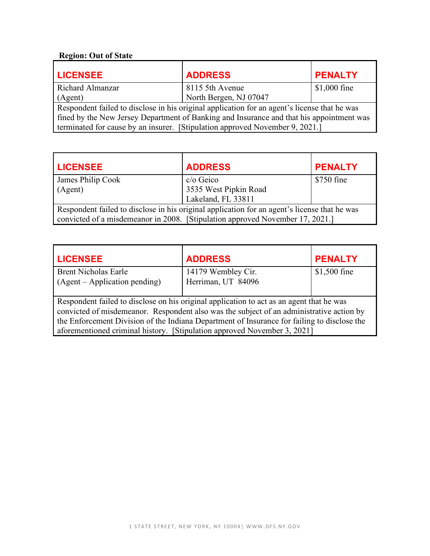# **Region: Out of State**

| <b>LICENSEE</b>                                                                          | <b>ADDRESS</b>                                                                               | <b>PENALTY</b> |
|------------------------------------------------------------------------------------------|----------------------------------------------------------------------------------------------|----------------|
| Richard Almanzar                                                                         | 8115 5th Avenue                                                                              | $$1,000$ fine  |
| (Agent)                                                                                  | North Bergen, NJ 07047                                                                       |                |
|                                                                                          | Respondent failed to disclose in his original application for an agent's license that he was |                |
| fined by the New Jersey Department of Banking and Insurance and that his appointment was |                                                                                              |                |
|                                                                                          | terminated for cause by an insurer. [Stipulation approved November 9, 2021.]                 |                |

| <b>LICENSEE</b>                                                                              | <b>ADDRESS</b>        | <b>PENALTY</b> |
|----------------------------------------------------------------------------------------------|-----------------------|----------------|
| James Philip Cook                                                                            | c/o Geico             | \$750 fine     |
| (Agent)                                                                                      | 3535 West Pipkin Road |                |
|                                                                                              | Lakeland, FL 33811    |                |
| Respondent failed to disclose in his original application for an agent's license that he was |                       |                |
| convicted of a misdemeanor in 2008. [Stipulation approved November 17, 2021.]                |                       |                |

| <b>LICENSEE</b>                                                                                                                                                                                                                                                                                                                                                 | <b>ADDRESS</b>     | <b>PENALTY</b> |
|-----------------------------------------------------------------------------------------------------------------------------------------------------------------------------------------------------------------------------------------------------------------------------------------------------------------------------------------------------------------|--------------------|----------------|
| <b>Brent Nicholas Earle</b>                                                                                                                                                                                                                                                                                                                                     | 14179 Wembley Cir. | $$1,500$ fine  |
| (Agent – Application pending)                                                                                                                                                                                                                                                                                                                                   | Herriman, UT 84096 |                |
| Respondent failed to disclose on his original application to act as an agent that he was<br>convicted of misdemeanor. Respondent also was the subject of an administrative action by<br>the Enforcement Division of the Indiana Department of Insurance for failing to disclose the<br>aforementioned criminal history. [Stipulation approved November 3, 2021] |                    |                |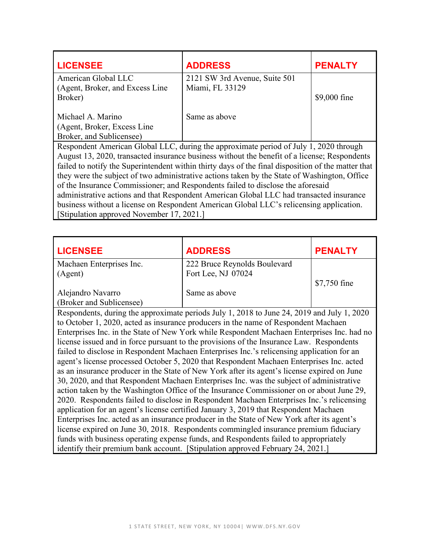| <b>LICENSEE</b>                                                                                    | <b>ADDRESS</b>                                                                        | <b>PENALTY</b> |
|----------------------------------------------------------------------------------------------------|---------------------------------------------------------------------------------------|----------------|
| American Global LLC                                                                                | 2121 SW 3rd Avenue, Suite 501                                                         |                |
| (Agent, Broker, and Excess Line)                                                                   | Miami, FL 33129                                                                       |                |
| Broker)                                                                                            |                                                                                       | \$9,000 fine   |
|                                                                                                    |                                                                                       |                |
| Michael A. Marino                                                                                  | Same as above                                                                         |                |
| (Agent, Broker, Excess Line)                                                                       |                                                                                       |                |
| Broker, and Sublicensee)                                                                           |                                                                                       |                |
|                                                                                                    | Respondent American Global LLC, during the approximate period of July 1, 2020 through |                |
| August 13, 2020, transacted insurance business without the benefit of a license; Respondents       |                                                                                       |                |
| failed to notify the Superintendent within thirty days of the final disposition of the matter that |                                                                                       |                |
| they were the subject of two administrative actions taken by the State of Washington, Office       |                                                                                       |                |
| of the Insurance Commissioner; and Respondents failed to disclose the aforesaid                    |                                                                                       |                |
| administrative actions and that Respondent American Global LLC had transacted insurance            |                                                                                       |                |
| business without a license on Respondent American Global LLC's relicensing application.            |                                                                                       |                |
| [Stipulation approved November 17, 2021.]                                                          |                                                                                       |                |

| <b>LICENSEE</b>                                                                             | <b>ADDRESS</b>                                                                             | <b>PENALTY</b> |  |
|---------------------------------------------------------------------------------------------|--------------------------------------------------------------------------------------------|----------------|--|
| Machaen Enterprises Inc.                                                                    | 222 Bruce Reynolds Boulevard                                                               |                |  |
| (Agent)                                                                                     | Fort Lee, NJ 07024                                                                         |                |  |
|                                                                                             |                                                                                            | \$7,750 fine   |  |
| Alejandro Navarro                                                                           | Same as above                                                                              |                |  |
| (Broker and Sublicensee)                                                                    |                                                                                            |                |  |
|                                                                                             | Respondents, during the approximate periods July 1, 2018 to June 24, 2019 and July 1, 2020 |                |  |
| to October 1, 2020, acted as insurance producers in the name of Respondent Machaen          |                                                                                            |                |  |
| Enterprises Inc. in the State of New York while Respondent Machaen Enterprises Inc. had no  |                                                                                            |                |  |
| license issued and in force pursuant to the provisions of the Insurance Law. Respondents    |                                                                                            |                |  |
| failed to disclose in Respondent Machaen Enterprises Inc.'s relicensing application for an  |                                                                                            |                |  |
| agent's license processed October 5, 2020 that Respondent Machaen Enterprises Inc. acted    |                                                                                            |                |  |
| as an insurance producer in the State of New York after its agent's license expired on June |                                                                                            |                |  |
| 30, 2020, and that Respondent Machaen Enterprises Inc. was the subject of administrative    |                                                                                            |                |  |
| action taken by the Washington Office of the Insurance Commissioner on or about June 29,    |                                                                                            |                |  |
| 2020. Respondents failed to disclose in Respondent Machaen Enterprises Inc.'s relicensing   |                                                                                            |                |  |
| application for an agent's license certified January 3, 2019 that Respondent Machaen        |                                                                                            |                |  |
|                                                                                             | Enterprises Inc. acted as an insurance producer in the State of New York after its agent's |                |  |

license expired on June 30, 2018. Respondents commingled insurance premium fiduciary funds with business operating expense funds, and Respondents failed to appropriately identify their premium bank account. [Stipulation approved February 24, 2021.]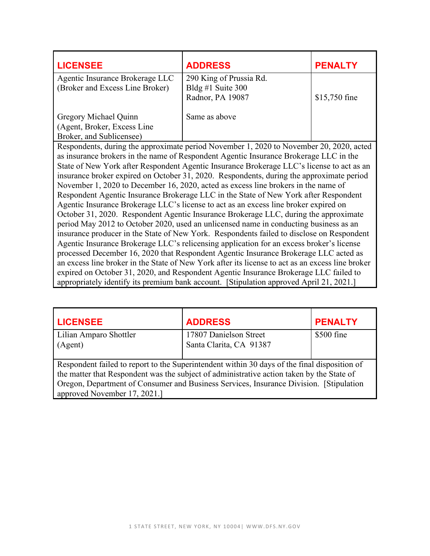| <b>LICENSEE</b>                                                                                  | <b>ADDRESS</b>                                                                            | <b>PENALTY</b> |
|--------------------------------------------------------------------------------------------------|-------------------------------------------------------------------------------------------|----------------|
| Agentic Insurance Brokerage LLC                                                                  | 290 King of Prussia Rd.                                                                   |                |
| (Broker and Excess Line Broker)                                                                  | Bldg #1 Suite $300$                                                                       |                |
|                                                                                                  | Radnor, PA 19087                                                                          | \$15,750 fine  |
|                                                                                                  |                                                                                           |                |
| Gregory Michael Quinn                                                                            | Same as above                                                                             |                |
| (Agent, Broker, Excess Line)                                                                     |                                                                                           |                |
| Broker, and Sublicensee)                                                                         |                                                                                           |                |
|                                                                                                  | Respondents, during the approximate period November 1, 2020 to November 20, 2020, acted   |                |
|                                                                                                  | as insurance brokers in the name of Respondent Agentic Insurance Brokerage LLC in the     |                |
|                                                                                                  | State of New York after Respondent Agentic Insurance Brokerage LLC's license to act as an |                |
| insurance broker expired on October 31, 2020. Respondents, during the approximate period         |                                                                                           |                |
| November 1, 2020 to December 16, 2020, acted as excess line brokers in the name of               |                                                                                           |                |
| Respondent Agentic Insurance Brokerage LLC in the State of New York after Respondent             |                                                                                           |                |
| Agentic Insurance Brokerage LLC's license to act as an excess line broker expired on             |                                                                                           |                |
| October 31, 2020. Respondent Agentic Insurance Brokerage LLC, during the approximate             |                                                                                           |                |
| period May 2012 to October 2020, used an unlicensed name in conducting business as an            |                                                                                           |                |
| insurance producer in the State of New York. Respondents failed to disclose on Respondent        |                                                                                           |                |
| Agentic Insurance Brokerage LLC's relicensing application for an excess broker's license         |                                                                                           |                |
| processed December 16, 2020 that Respondent Agentic Insurance Brokerage LLC acted as             |                                                                                           |                |
| an excess line broker in the State of New York after its license to act as an excess line broker |                                                                                           |                |
| expired on October 31, 2020, and Respondent Agentic Insurance Brokerage LLC failed to            |                                                                                           |                |
|                                                                                                  | appropriately identify its premium bank account. [Stipulation approved April 21, 2021.]   |                |

| <b>LICENSEE</b>                                                                                                                                                                                                                                                                                                      | <b>ADDRESS</b>                                    | <b>PENALTY</b> |
|----------------------------------------------------------------------------------------------------------------------------------------------------------------------------------------------------------------------------------------------------------------------------------------------------------------------|---------------------------------------------------|----------------|
| Lilian Amparo Shottler<br>(Agent)                                                                                                                                                                                                                                                                                    | 17807 Danielson Street<br>Santa Clarita, CA 91387 | \$500 fine     |
| Respondent failed to report to the Superintendent within 30 days of the final disposition of<br>the matter that Respondent was the subject of administrative action taken by the State of<br>Oregon, Department of Consumer and Business Services, Insurance Division. [Stipulation]<br>approved November 17, 2021.] |                                                   |                |